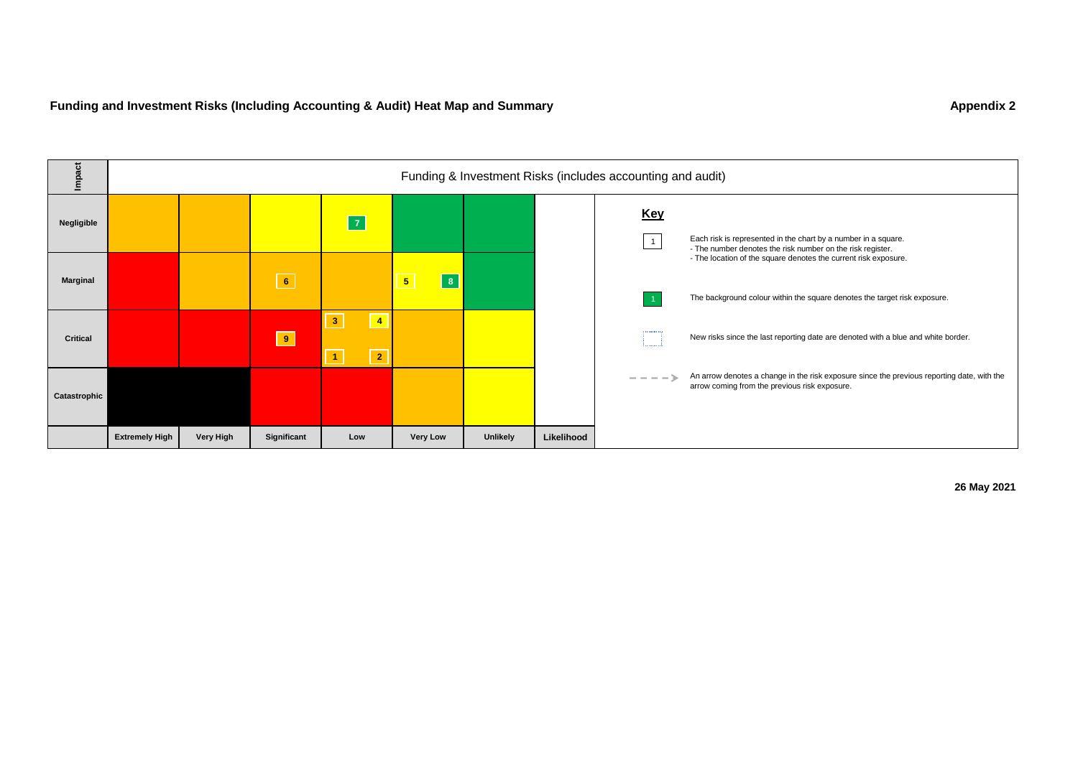

**26 May 2021**